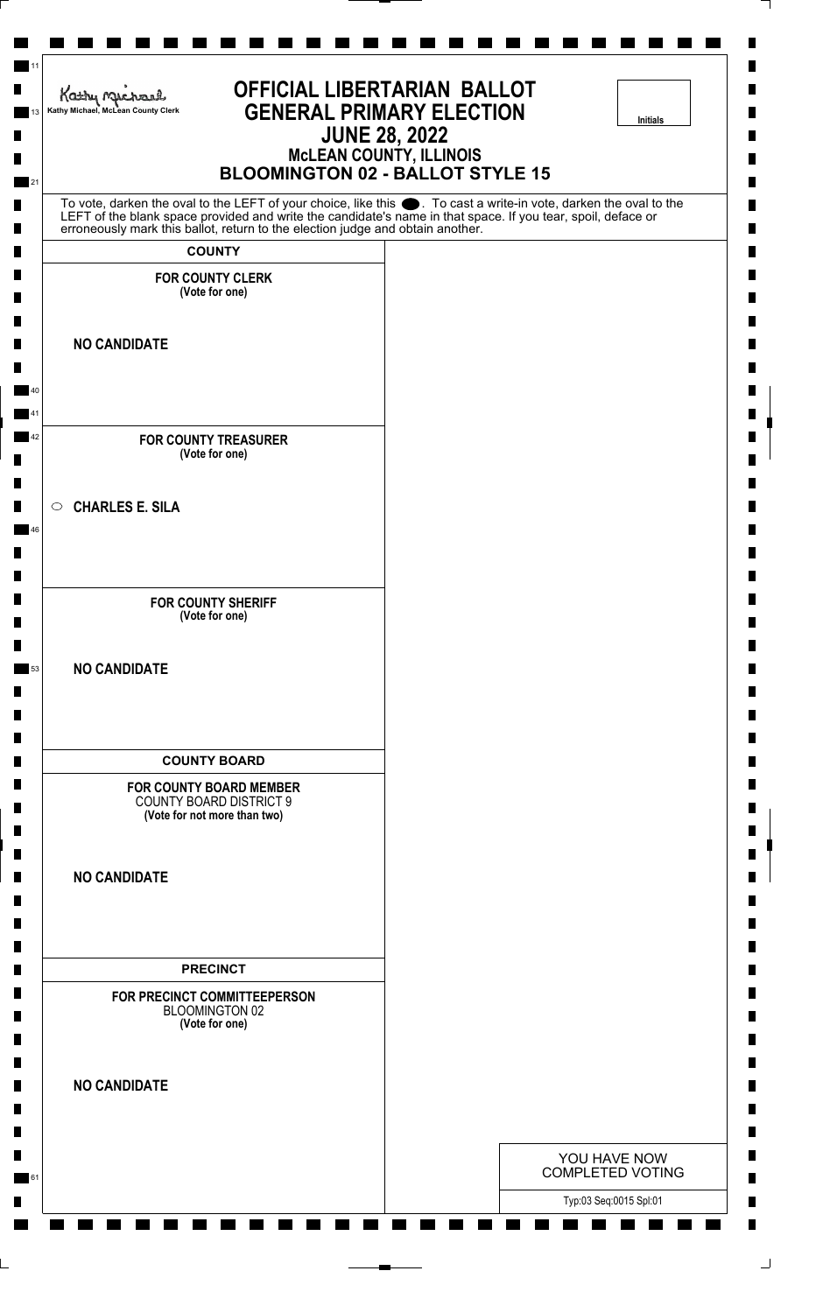| <b>OFFICIAL LIBERTARIAN BALLOT</b><br>Kathy Michael<br><b>GENERAL PRIMARY ELECTION</b><br>Kathy Michael, McLean County Clerk<br>Initials<br><b>JUNE 28, 2022</b><br><b>McLEAN COUNTY, ILLINOIS</b><br><b>BLOOMINGTON 02 - BALLOT STYLE 15</b> |                                                                                                                                                                                                                                      |  |  |  |
|-----------------------------------------------------------------------------------------------------------------------------------------------------------------------------------------------------------------------------------------------|--------------------------------------------------------------------------------------------------------------------------------------------------------------------------------------------------------------------------------------|--|--|--|
|                                                                                                                                                                                                                                               | To vote, darken the oval to the LEFT of your choice, like this $\bullet$ . To cast a write-in vote, darken the oval to the LEFT of the blank space provided and write the candidate's name in that space. If you tear, spoil, deface |  |  |  |
| erroneously mark this ballot, return to the election judge and obtain another.<br><b>COUNTY</b>                                                                                                                                               |                                                                                                                                                                                                                                      |  |  |  |
| <b>FOR COUNTY CLERK</b><br>(Vote for one)                                                                                                                                                                                                     |                                                                                                                                                                                                                                      |  |  |  |
| <b>NO CANDIDATE</b>                                                                                                                                                                                                                           |                                                                                                                                                                                                                                      |  |  |  |
| <b>FOR COUNTY TREASURER</b><br>(Vote for one)                                                                                                                                                                                                 |                                                                                                                                                                                                                                      |  |  |  |
| $\circ$ CHARLES E. SILA                                                                                                                                                                                                                       |                                                                                                                                                                                                                                      |  |  |  |
| <b>FOR COUNTY SHERIFF</b><br>(Vote for one)                                                                                                                                                                                                   |                                                                                                                                                                                                                                      |  |  |  |
| <b>NO CANDIDATE</b>                                                                                                                                                                                                                           |                                                                                                                                                                                                                                      |  |  |  |
| <b>COUNTY BOARD</b>                                                                                                                                                                                                                           |                                                                                                                                                                                                                                      |  |  |  |
| <b>FOR COUNTY BOARD MEMBER</b><br><b>COUNTY BOARD DISTRICT 9</b><br>(Vote for not more than two)                                                                                                                                              |                                                                                                                                                                                                                                      |  |  |  |
| <b>NO CANDIDATE</b>                                                                                                                                                                                                                           |                                                                                                                                                                                                                                      |  |  |  |
| <b>PRECINCT</b>                                                                                                                                                                                                                               |                                                                                                                                                                                                                                      |  |  |  |
| FOR PRECINCT COMMITTEEPERSON<br>BLOOMINGTON 02<br>(Vote for one)                                                                                                                                                                              |                                                                                                                                                                                                                                      |  |  |  |
| <b>NO CANDIDATE</b>                                                                                                                                                                                                                           |                                                                                                                                                                                                                                      |  |  |  |
|                                                                                                                                                                                                                                               | YOU HAVE NOW<br><b>COMPLETED VOTING</b>                                                                                                                                                                                              |  |  |  |
|                                                                                                                                                                                                                                               | Typ:03 Seq:0015 Spl:01                                                                                                                                                                                                               |  |  |  |

⅂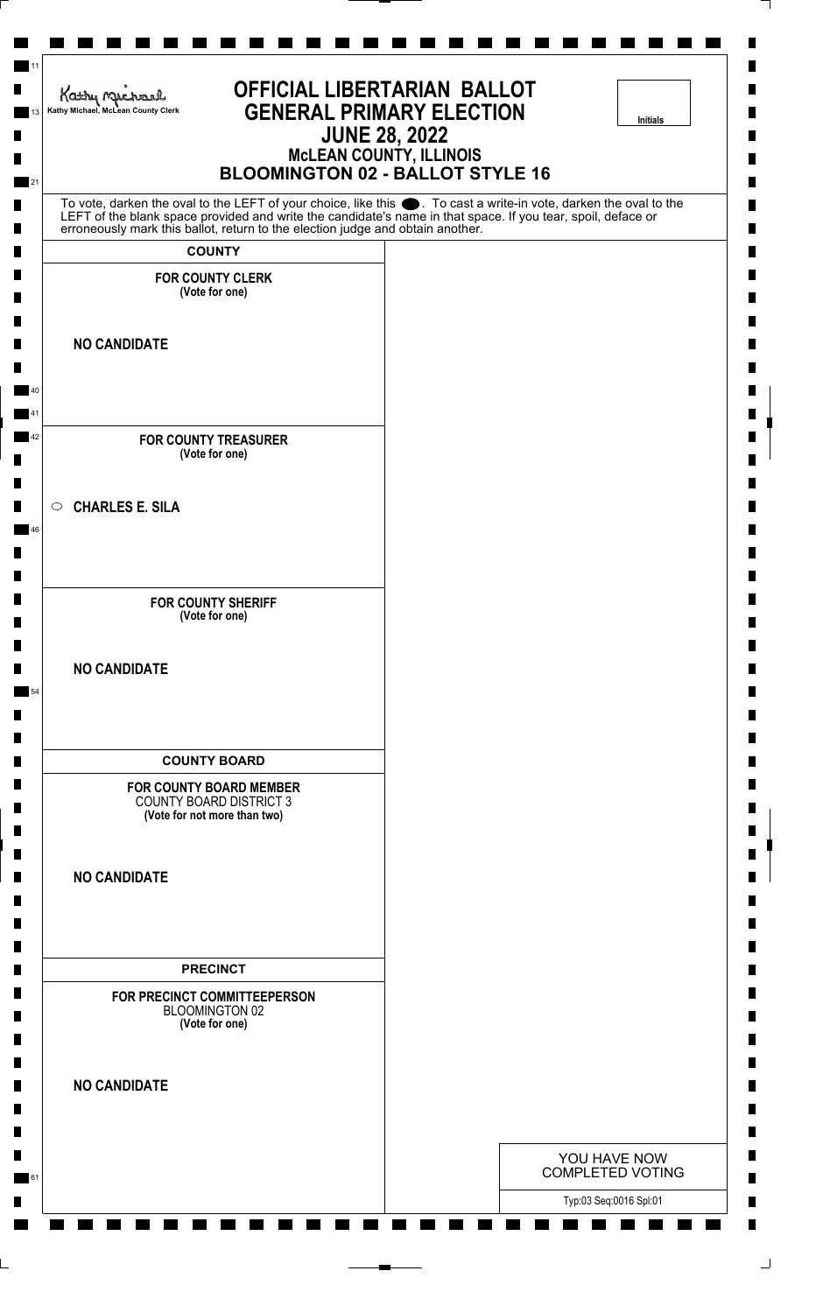| <b>OFFICIAL LIBERTARIAN BALLOT</b><br>Kathy nucharl<br><b>GENERAL PRIMARY ELECTION</b><br>Kathy Michael, McLean County Clerk<br><b>Initials</b><br><b>JUNE 28, 2022</b><br><b>MCLEAN COUNTY, ILLINOIS</b><br><b>BLOOMINGTON 02 - BALLOT STYLE 16</b> |                                                                                                                                                                                                                                  |  |  |
|------------------------------------------------------------------------------------------------------------------------------------------------------------------------------------------------------------------------------------------------------|----------------------------------------------------------------------------------------------------------------------------------------------------------------------------------------------------------------------------------|--|--|
|                                                                                                                                                                                                                                                      | To vote, darken the oval to the LEFT of your choice, like this . To cast a write-in vote, darken the oval to the<br>LEFT of the blank space provided and write the candidate's name in that space. If you tear, spoil, deface or |  |  |
| erroneously mark this ballot, return to the election judge and obtain another.                                                                                                                                                                       |                                                                                                                                                                                                                                  |  |  |
| <b>COUNTY</b><br><b>FOR COUNTY CLERK</b>                                                                                                                                                                                                             |                                                                                                                                                                                                                                  |  |  |
| (Vote for one)                                                                                                                                                                                                                                       |                                                                                                                                                                                                                                  |  |  |
| <b>NO CANDIDATE</b>                                                                                                                                                                                                                                  |                                                                                                                                                                                                                                  |  |  |
| <b>FOR COUNTY TREASURER</b>                                                                                                                                                                                                                          |                                                                                                                                                                                                                                  |  |  |
| (Vote for one)                                                                                                                                                                                                                                       |                                                                                                                                                                                                                                  |  |  |
| $\circ$ CHARLES E. SILA                                                                                                                                                                                                                              |                                                                                                                                                                                                                                  |  |  |
| <b>FOR COUNTY SHERIFF</b><br>(Vote for one)                                                                                                                                                                                                          |                                                                                                                                                                                                                                  |  |  |
| <b>NO CANDIDATE</b>                                                                                                                                                                                                                                  |                                                                                                                                                                                                                                  |  |  |
| <b>COUNTY BOARD</b>                                                                                                                                                                                                                                  |                                                                                                                                                                                                                                  |  |  |
| <b>FOR COUNTY BOARD MEMBER</b><br><b>COUNTY BOARD DISTRICT 3</b><br>(Vote for not more than two)                                                                                                                                                     |                                                                                                                                                                                                                                  |  |  |
| <b>NO CANDIDATE</b>                                                                                                                                                                                                                                  |                                                                                                                                                                                                                                  |  |  |
| <b>PRECINCT</b>                                                                                                                                                                                                                                      |                                                                                                                                                                                                                                  |  |  |
| FOR PRECINCT COMMITTEEPERSON<br>BLOOMINGTON 02<br>(Vote for one)                                                                                                                                                                                     |                                                                                                                                                                                                                                  |  |  |
| <b>NO CANDIDATE</b>                                                                                                                                                                                                                                  |                                                                                                                                                                                                                                  |  |  |
|                                                                                                                                                                                                                                                      | YOU HAVE NOW                                                                                                                                                                                                                     |  |  |
|                                                                                                                                                                                                                                                      | <b>COMPLETED VOTING</b><br>Typ:03 Seq:0016 Spl:01                                                                                                                                                                                |  |  |

⅂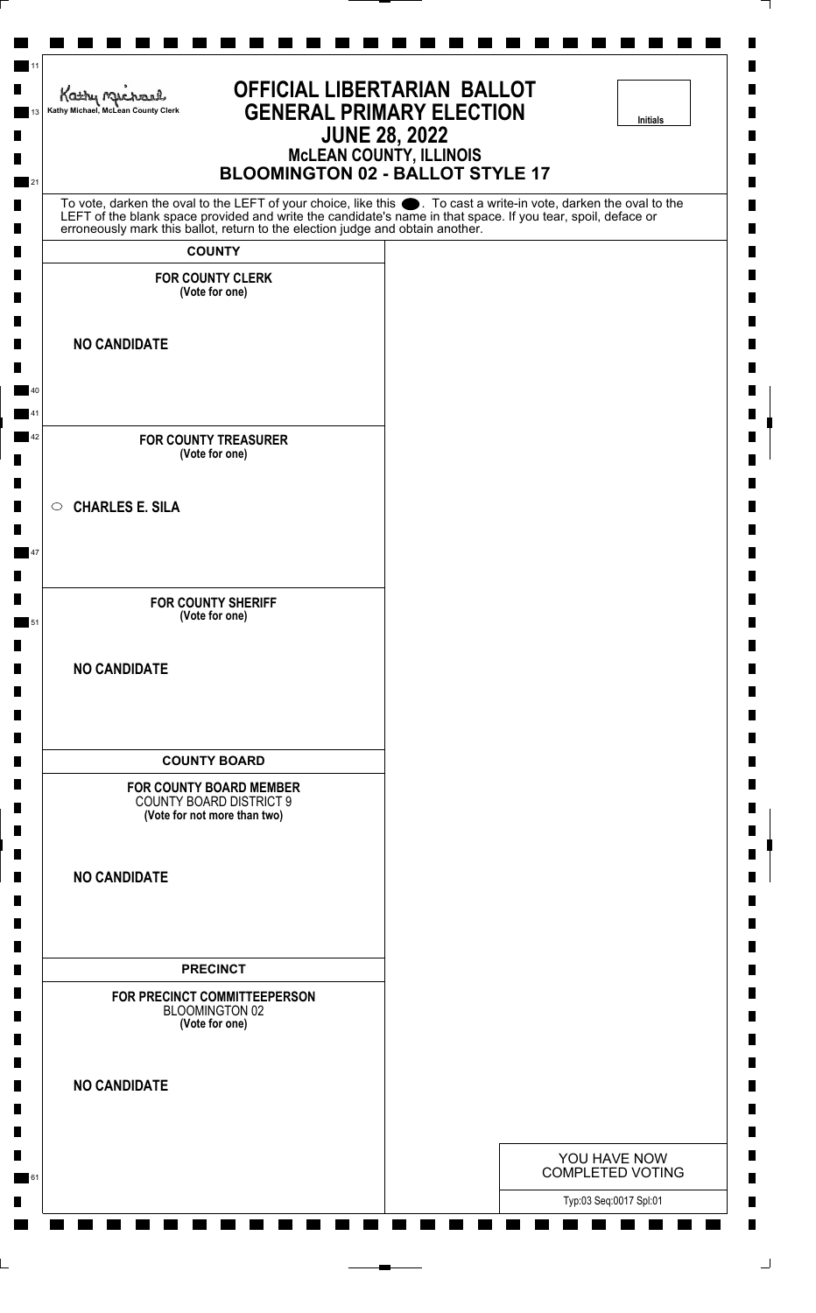| <b>OFFICIAL LIBERTARIAN BALLOT</b><br>Kathy nucharl<br><b>GENERAL PRIMARY ELECTION</b><br>Kathy Michael, McLean County Clerk<br><b>Initials</b><br><b>JUNE 28, 2022</b><br><b>McLEAN COUNTY, ILLINOIS</b><br><b>BLOOMINGTON 02 - BALLOT STYLE 17</b> |  |  |                                         |
|------------------------------------------------------------------------------------------------------------------------------------------------------------------------------------------------------------------------------------------------------|--|--|-----------------------------------------|
| To vote, darken the oval to the LEFT of your choice, like this . To cast a write-in vote, darken the oval to the<br>LEFT of the blank space provided and write the candidate's name in that space. If you tear, spoil, deface or                     |  |  |                                         |
| erroneously mark this ballot, return to the election judge and obtain another.                                                                                                                                                                       |  |  |                                         |
| <b>COUNTY</b><br><b>FOR COUNTY CLERK</b>                                                                                                                                                                                                             |  |  |                                         |
| (Vote for one)                                                                                                                                                                                                                                       |  |  |                                         |
| <b>NO CANDIDATE</b>                                                                                                                                                                                                                                  |  |  |                                         |
|                                                                                                                                                                                                                                                      |  |  |                                         |
| <b>FOR COUNTY TREASURER</b><br>(Vote for one)                                                                                                                                                                                                        |  |  |                                         |
| $\circ$ CHARLES E. SILA                                                                                                                                                                                                                              |  |  |                                         |
| <b>FOR COUNTY SHERIFF</b>                                                                                                                                                                                                                            |  |  |                                         |
| (Vote for one)                                                                                                                                                                                                                                       |  |  |                                         |
| <b>NO CANDIDATE</b>                                                                                                                                                                                                                                  |  |  |                                         |
| <b>COUNTY BOARD</b>                                                                                                                                                                                                                                  |  |  |                                         |
| <b>FOR COUNTY BOARD MEMBER</b><br><b>COUNTY BOARD DISTRICT 9</b><br>(Vote for not more than two)                                                                                                                                                     |  |  |                                         |
| <b>NO CANDIDATE</b>                                                                                                                                                                                                                                  |  |  |                                         |
|                                                                                                                                                                                                                                                      |  |  |                                         |
| <b>PRECINCT</b><br>FOR PRECINCT COMMITTEEPERSON<br>BLOOMINGTON 02<br>(Vote for one)                                                                                                                                                                  |  |  |                                         |
| <b>NO CANDIDATE</b>                                                                                                                                                                                                                                  |  |  |                                         |
|                                                                                                                                                                                                                                                      |  |  |                                         |
|                                                                                                                                                                                                                                                      |  |  | YOU HAVE NOW<br><b>COMPLETED VOTING</b> |
|                                                                                                                                                                                                                                                      |  |  | Typ:03 Seq:0017 Spl:01                  |

⅂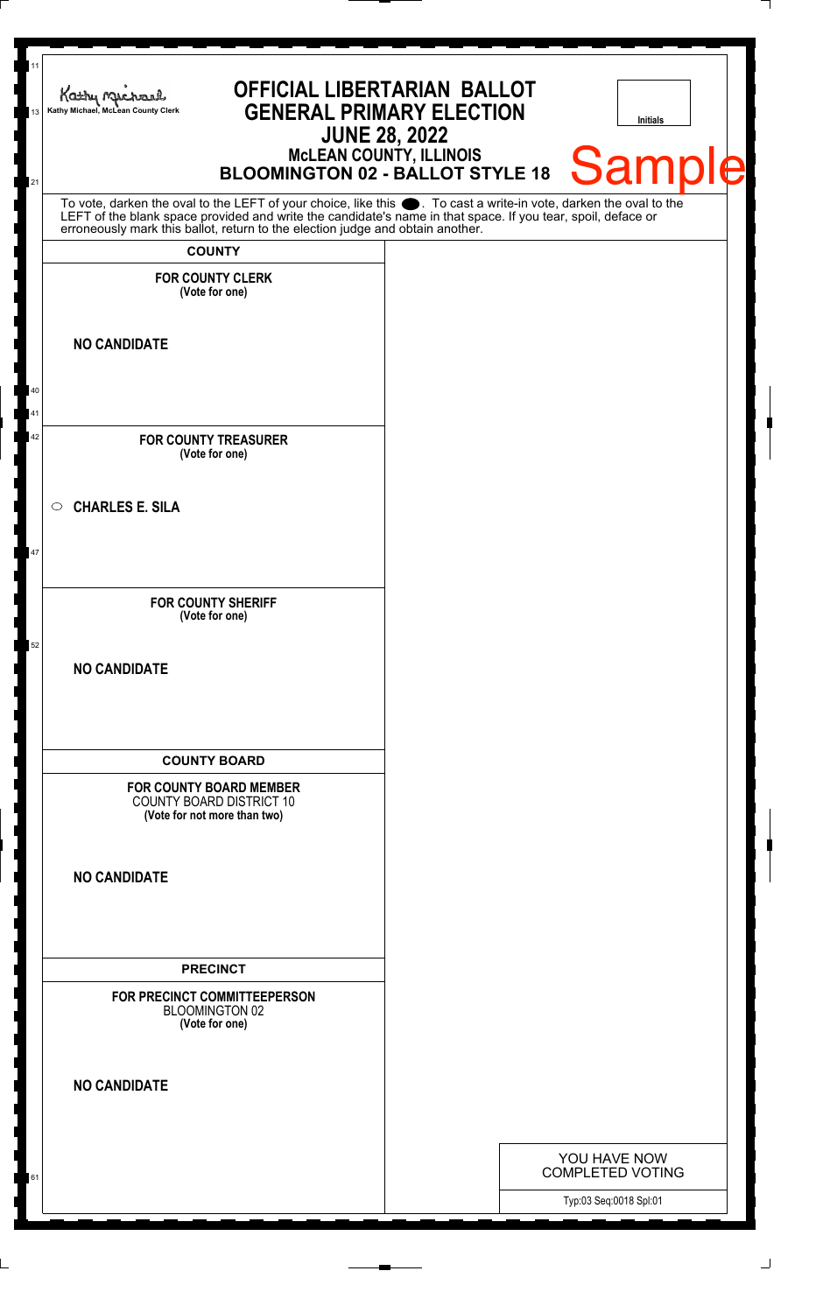| 11<br><b>OFFICIAL LIBERTARIAN BALLOT</b><br>Kathy Michael<br><b>GENERAL PRIMARY ELECTION</b><br>Kathy Michael, McLean County Clerk<br>13<br><b>Initials</b><br><b>JUNE 28, 2022</b><br>McLEAN COUNTY, ILLINOIS<br>BLOOMINGTON 02 - BALLOT STYLE 18<br>Sample                                                                 |  |                                         |  |  |  |  |
|------------------------------------------------------------------------------------------------------------------------------------------------------------------------------------------------------------------------------------------------------------------------------------------------------------------------------|--|-----------------------------------------|--|--|--|--|
| 21<br>To vote, darken the oval to the LEFT of your choice, like this $\bullet$ . To cast a write-in vote, darken the oval to the LEFT of the blank space provided and write the candidate's name in that space. If you tear, spoil, deface<br>erroneously mark this ballot, return to the election judge and obtain another. |  |                                         |  |  |  |  |
| <b>COUNTY</b><br><b>FOR COUNTY CLERK</b><br>(Vote for one)                                                                                                                                                                                                                                                                   |  |                                         |  |  |  |  |
| <b>NO CANDIDATE</b><br>40                                                                                                                                                                                                                                                                                                    |  |                                         |  |  |  |  |
| 41<br>42<br><b>FOR COUNTY TREASURER</b><br>(Vote for one)                                                                                                                                                                                                                                                                    |  |                                         |  |  |  |  |
| <b>CHARLES E. SILA</b><br>$\circ$<br>47                                                                                                                                                                                                                                                                                      |  |                                         |  |  |  |  |
| <b>FOR COUNTY SHERIFF</b><br>(Vote for one)                                                                                                                                                                                                                                                                                  |  |                                         |  |  |  |  |
| 52<br><b>NO CANDIDATE</b>                                                                                                                                                                                                                                                                                                    |  |                                         |  |  |  |  |
| <b>COUNTY BOARD</b><br><b>FOR COUNTY BOARD MEMBER</b><br><b>COUNTY BOARD DISTRICT 10</b><br>(Vote for not more than two)                                                                                                                                                                                                     |  |                                         |  |  |  |  |
| <b>NO CANDIDATE</b>                                                                                                                                                                                                                                                                                                          |  |                                         |  |  |  |  |
| <b>PRECINCT</b><br>FOR PRECINCT COMMITTEEPERSON<br><b>BLOOMINGTON 02</b><br>(Vote for one)                                                                                                                                                                                                                                   |  |                                         |  |  |  |  |
| <b>NO CANDIDATE</b>                                                                                                                                                                                                                                                                                                          |  |                                         |  |  |  |  |
| 61                                                                                                                                                                                                                                                                                                                           |  | YOU HAVE NOW<br><b>COMPLETED VOTING</b> |  |  |  |  |
|                                                                                                                                                                                                                                                                                                                              |  | Typ:03 Seq:0018 Spl:01                  |  |  |  |  |